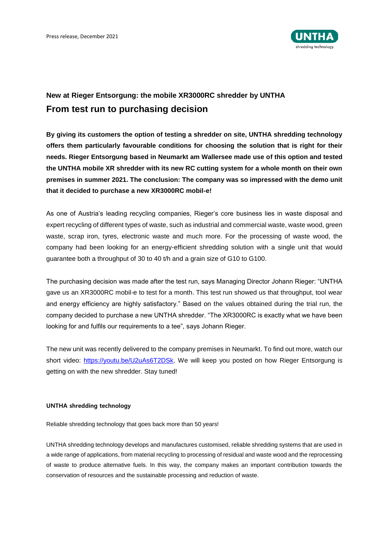

## **New at Rieger Entsorgung: the mobile XR3000RC shredder by UNTHA From test run to purchasing decision**

**By giving its customers the option of testing a shredder on site, UNTHA shredding technology offers them particularly favourable conditions for choosing the solution that is right for their needs. Rieger Entsorgung based in Neumarkt am Wallersee made use of this option and tested the UNTHA mobile XR shredder with its new RC cutting system for a whole month on their own premises in summer 2021. The conclusion: The company was so impressed with the demo unit that it decided to purchase a new XR3000RC mobil-e!**

As one of Austria's leading recycling companies, Rieger's core business lies in waste disposal and expert recycling of different types of waste, such as industrial and commercial waste, waste wood, green waste, scrap iron, tyres, electronic waste and much more. For the processing of waste wood, the company had been looking for an energy-efficient shredding solution with a single unit that would guarantee both a throughput of 30 to 40 t/h and a grain size of G10 to G100.

The purchasing decision was made after the test run, says Managing Director Johann Rieger: "UNTHA gave us an XR3000RC mobil-e to test for a month. This test run showed us that throughput, tool wear and energy efficiency are highly satisfactory." Based on the values obtained during the trial run, the company decided to purchase a new UNTHA shredder. "The XR3000RC is exactly what we have been looking for and fulfils our requirements to a tee", says Johann Rieger.

The new unit was recently delivered to the company premises in Neumarkt. To find out more, watch our short video: [https://youtu.be/U2uAs6T2DSk.](https://youtu.be/U2uAs6T2DSk) We will keep you posted on how Rieger Entsorgung is getting on with the new shredder. Stay tuned!

## **UNTHA shredding technology**

Reliable shredding technology that goes back more than 50 years!

UNTHA shredding technology develops and manufactures customised, reliable shredding systems that are used in a wide range of applications, from material recycling to processing of residual and waste wood and the reprocessing of waste to produce alternative fuels. In this way, the company makes an important contribution towards the conservation of resources and the sustainable processing and reduction of waste.